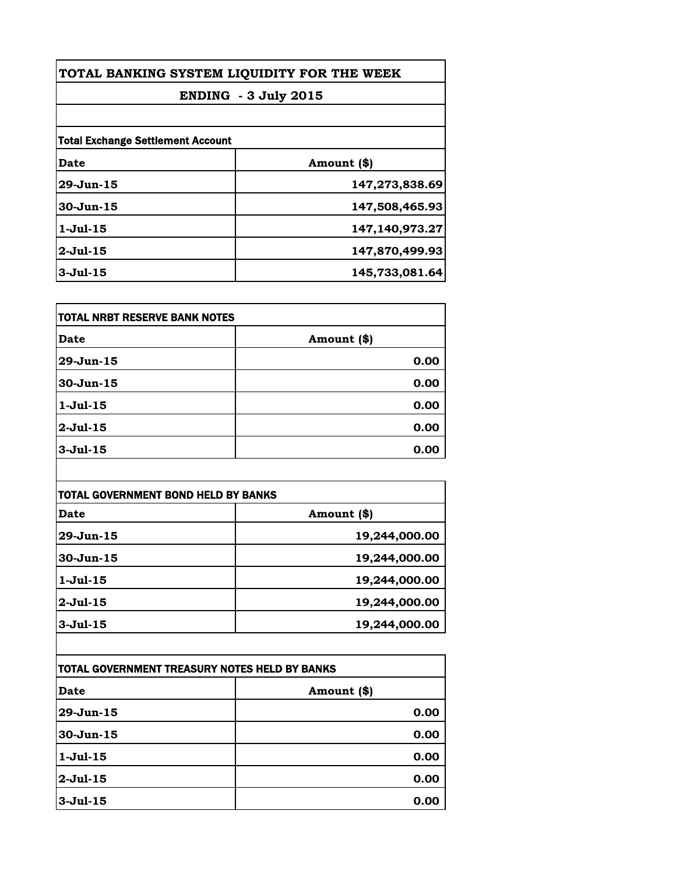| TOTAL BANKING SYSTEM LIQUIDITY FOR THE WEEK<br><b>ENDING - 3 July 2015</b> |                |
|----------------------------------------------------------------------------|----------------|
|                                                                            |                |
| <b>Total Exchange Settlement Account</b>                                   |                |
| Date                                                                       | Amount (\$)    |
| $29 - Jun - 15$                                                            | 147,273,838.69 |
| $30 - Jun-15$                                                              | 147,508,465.93 |
| $1-Ju1-15$                                                                 | 147,140,973.27 |
| $2-Jul-15$                                                                 | 147,870,499.93 |
| $3-Jul-15$                                                                 | 145,733,081.64 |

| itotal NRBT RESERVE BANK NOTES |             |
|--------------------------------|-------------|
| Date                           | Amount (\$) |
| 29-Jun-15                      | 0.00        |
| $30 - Jun-15$                  | 0.00        |
| $1-Jul-15$                     | 0.00        |
| $2$ -Jul-15                    | 0.00        |
| $3-Jul-15$                     | 0.00        |

| TOTAL GOVERNMENT BOND HELD BY BANKS |               |
|-------------------------------------|---------------|
| Date                                | Amount (\$)   |
| 29-Jun-15                           | 19,244,000.00 |
| $30 - Jun - 15$                     | 19,244,000.00 |
| $1-Ju1-15$                          | 19,244,000.00 |
| $2-Jul-15$                          | 19,244,000.00 |
| $3-Jul-15$                          | 19,244,000.00 |

| TOTAL GOVERNMENT TREASURY NOTES HELD BY BANKS |             |
|-----------------------------------------------|-------------|
| Date                                          | Amount (\$) |
| $29 - Jun - 15$                               | 0.00        |
| $30 - Jun-15$                                 | 0.00        |
| $1-Jul-15$                                    | 0.00        |
| $2-Jul-15$                                    | 0.00        |
| $3-Ju1-15$                                    | 0.00        |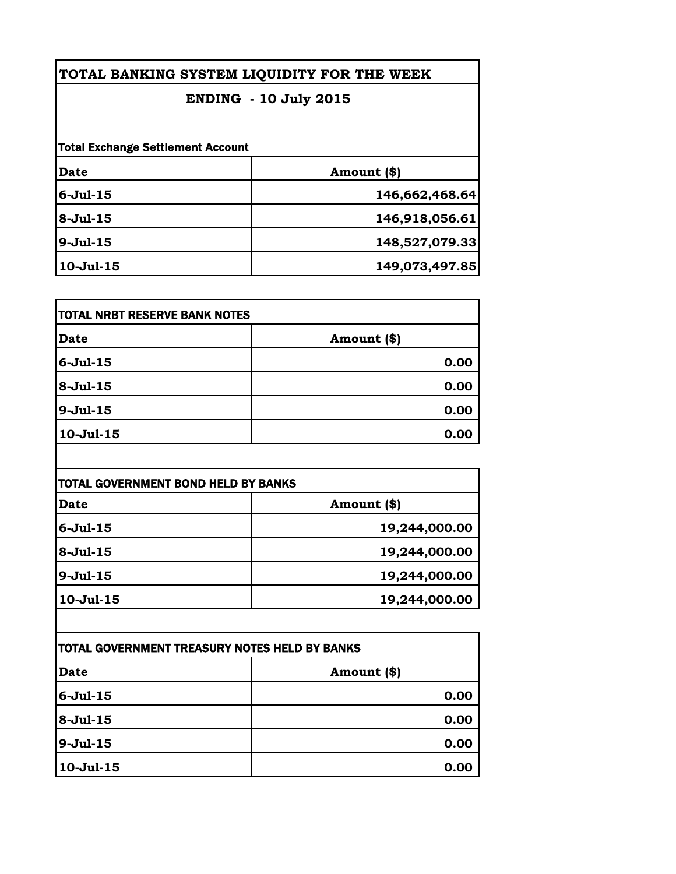| TOTAL BANKING SYSTEM LIQUIDITY FOR THE WEEK |  |
|---------------------------------------------|--|
| <b>ENDING - 10 July 2015</b>                |  |
|                                             |  |
|                                             |  |
| Amount (\$)                                 |  |
| 146,662,468.64                              |  |
| 146,918,056.61                              |  |
| 148,527,079.33                              |  |
| 149,073,497.85                              |  |
|                                             |  |

| <b>TOTAL NRBT RESERVE BANK NOTES</b> |             |
|--------------------------------------|-------------|
| <b>Date</b>                          | Amount (\$) |
| $6-Jul-15$                           | 0.00        |
| $8-Jul-15$                           | 0.00        |
| $9-Jul-15$                           | 0.00        |
| $10-Jul-15$                          | 0.00        |

| TOTAL GOVERNMENT BOND HELD BY BANKS |               |
|-------------------------------------|---------------|
| <b>Date</b>                         | Amount (\$)   |
| $6 -$ Jul $-15$                     | 19,244,000.00 |
| $8-Jul-15$                          | 19,244,000.00 |
| $9-Jul-15$                          | 19,244,000.00 |
| $10-Ju1-15$                         | 19,244,000.00 |

| <b>ITOTAL GOVERNMENT TREASURY NOTES HELD BY BANKS</b> |             |
|-------------------------------------------------------|-------------|
| <b>Date</b>                                           | Amount (\$) |
| $6 -$ Jul $-15$                                       | 0.00        |
| $8 - Jul - 15$                                        | 0.00        |
| $9 -$ Jul $-15$                                       | 0.00        |
| $10-Ju1-15$                                           | 0.00        |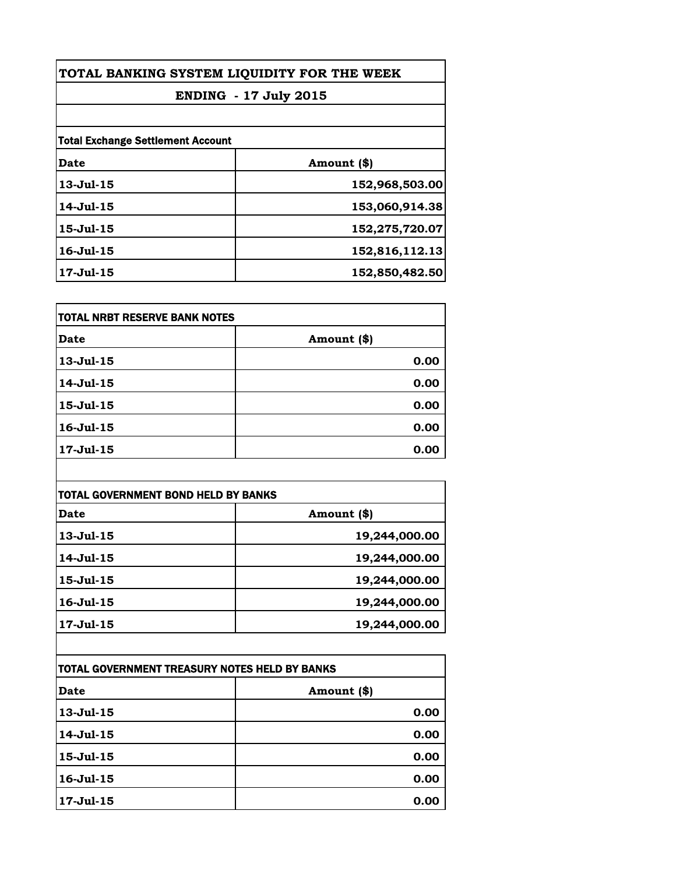| TOTAL BANKING SYSTEM LIQUIDITY FOR THE WEEK<br><b>ENDING - 17 July 2015</b> |                |
|-----------------------------------------------------------------------------|----------------|
|                                                                             |                |
| <b>Total Exchange Settlement Account</b>                                    |                |
| Date                                                                        | Amount (\$)    |
| $13 - Jul - 15$                                                             | 152,968,503.00 |
| 14-Jul-15                                                                   | 153,060,914.38 |
| $15 - Jul - 15$                                                             | 152,275,720.07 |
| $16 - Jul - 15$                                                             | 152,816,112.13 |
| 17-Jul-15                                                                   | 152,850,482.50 |

| itotal NRBT RESERVE BANK NOTES |             |
|--------------------------------|-------------|
| Date                           | Amount (\$) |
| $13 - Jul - 15$                | 0.00        |
| 14-Jul-15                      | 0.00        |
| 15-Jul-15                      | 0.00        |
| 16-Jul-15                      | 0.00        |
| 17-Jul-15                      | 0.00        |

| TOTAL GOVERNMENT BOND HELD BY BANKS |               |
|-------------------------------------|---------------|
| Date                                | Amount (\$)   |
| $13 - Jul - 15$                     | 19,244,000.00 |
| 14-Jul-15                           | 19,244,000.00 |
| $15 -$ Jul $-15$                    | 19,244,000.00 |
| $16 - Jul - 15$                     | 19,244,000.00 |
| 17-Jul-15                           | 19,244,000.00 |

| TOTAL GOVERNMENT TREASURY NOTES HELD BY BANKS |             |
|-----------------------------------------------|-------------|
| Date                                          | Amount (\$) |
| $13 - Jul - 15$                               | 0.00        |
| 14-Jul-15                                     | 0.00        |
| $15 -$ Jul $-15$                              | 0.00        |
| $16 - Jul - 15$                               | 0.00        |
| 17-Jul-15                                     | 0.00        |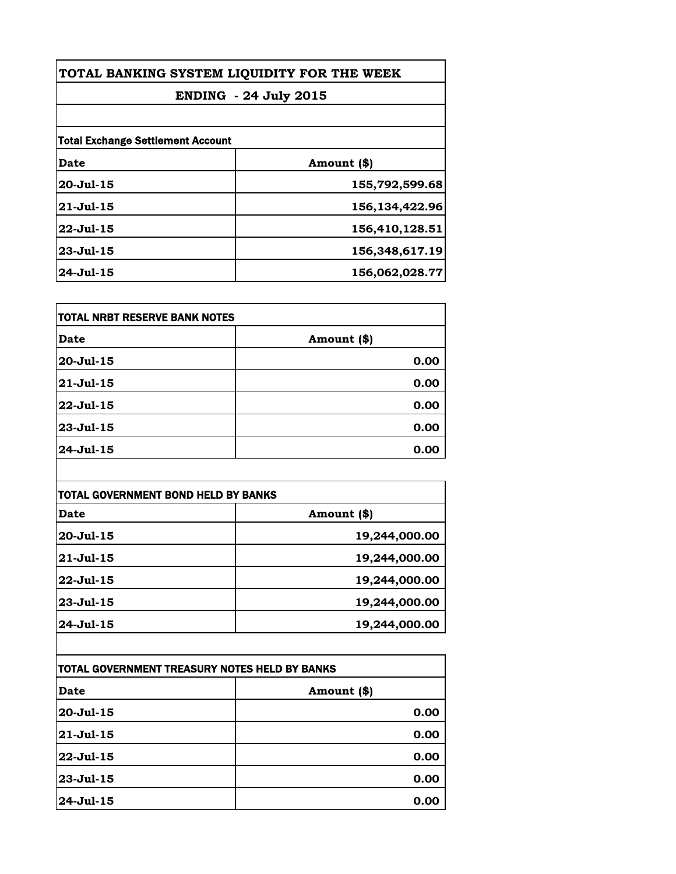| TOTAL BANKING SYSTEM LIQUIDITY FOR THE WEEK |                   |  |
|---------------------------------------------|-------------------|--|
| <b>ENDING</b> - 24 July 2015                |                   |  |
|                                             |                   |  |
| <b>Total Exchange Settlement Account</b>    |                   |  |
| Date                                        | Amount (\$)       |  |
| $20 -$ Jul $-15$                            | 155,792,599.68    |  |
| $21 - Jul - 15$                             | 156, 134, 422. 96 |  |
| $22 - Jul - 15$                             | 156,410,128.51    |  |
| $23 - Jul - 15$                             | 156,348,617.19    |  |
| 24-Jul-15                                   | 156,062,028.77    |  |

| itotal NRBT RESERVE BANK NOTES |             |
|--------------------------------|-------------|
| Date                           | Amount (\$) |
| 20-Jul-15                      | 0.00        |
| $21 - Jul - 15$                | 0.00        |
| 22-Jul-15                      | 0.00        |
| 23-Jul-15                      | 0.00        |
| 24-Jul-15                      | 0.00        |

| TOTAL GOVERNMENT BOND HELD BY BANKS |               |
|-------------------------------------|---------------|
| Date                                | Amount (\$)   |
| $20 -$ Jul-15                       | 19,244,000.00 |
| $ 21 - \text{Jul} - 15 $            | 19,244,000.00 |
| 22-Jul-15                           | 19,244,000.00 |
| 23-Jul-15                           | 19,244,000.00 |
| 24-Jul-15                           | 19,244,000.00 |

| ITOTAL GOVERNMENT TREASURY NOTES HELD BY BANKS |             |
|------------------------------------------------|-------------|
| Date                                           | Amount (\$) |
| $20 -$ Jul $-15$                               | 0.00        |
| $21 - Jul - 15$                                | 0.00        |
| $22 -$ Jul-15                                  | 0.00        |
| 23-Jul-15                                      | 0.00        |
| 24-Jul-15                                      | 0.00        |